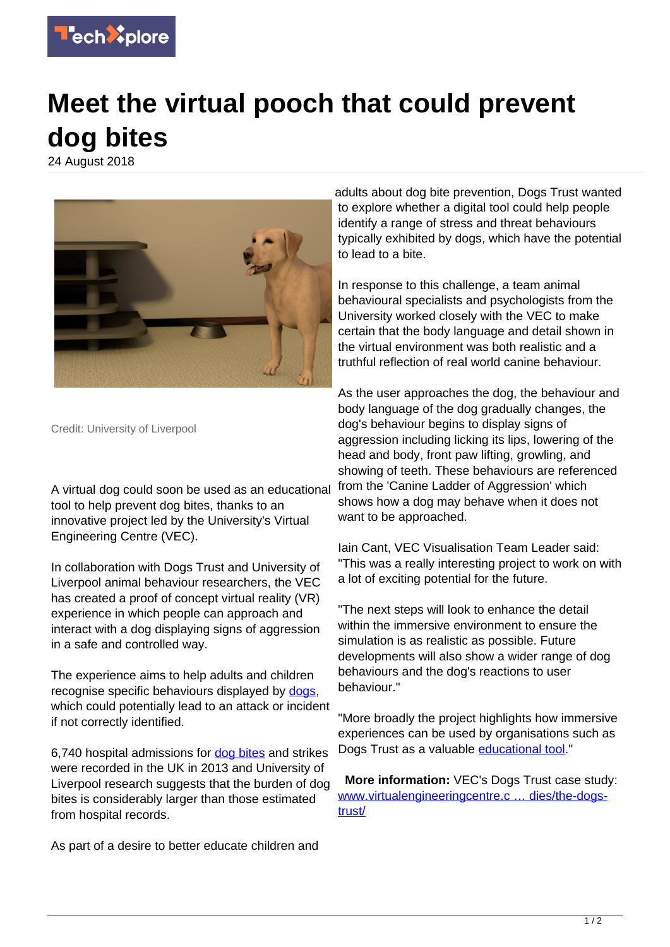

## **Meet the virtual pooch that could prevent dog bites**

24 August 2018



Credit: University of Liverpool

A virtual dog could soon be used as an educational tool to help prevent dog bites, thanks to an innovative project led by the University's Virtual Engineering Centre (VEC).

In collaboration with Dogs Trust and University of Liverpool animal behaviour researchers, the VEC has created a proof of concept virtual reality (VR) experience in which people can approach and interact with a dog displaying signs of aggression in a safe and controlled way.

The experience aims to help adults and children recognise specific behaviours displayed by dogs. which could potentially lead to an attack or incident if not correctly identified.

6,740 hospital admissions for [dog bites](https://techxplore.com/tags/dog+bites/) and strikes were recorded in the UK in 2013 and University of Liverpool research suggests that the burden of dog bites is considerably larger than those estimated from hospital records.

As part of a desire to better educate children and

adults about dog bite prevention, Dogs Trust wanted to explore whether a digital tool could help people identify a range of stress and threat behaviours typically exhibited by dogs, which have the potential to lead to a bite.

In response to this challenge, a team animal behavioural specialists and psychologists from the University worked closely with the VEC to make certain that the body language and detail shown in the virtual environment was both realistic and a truthful reflection of real world canine behaviour.

As the user approaches the dog, the behaviour and body language of the dog gradually changes, the dog's behaviour begins to display signs of aggression including licking its lips, lowering of the head and body, front paw lifting, growling, and showing of teeth. These behaviours are referenced from the 'Canine Ladder of Aggression' which shows how a dog may behave when it does not want to be approached.

Iain Cant, VEC Visualisation Team Leader said: "This was a really interesting project to work on with a lot of exciting potential for the future.

"The next steps will look to enhance the detail within the immersive environment to ensure the simulation is as realistic as possible. Future developments will also show a wider range of dog behaviours and the dog's reactions to user behaviour."

"More broadly the project highlights how immersive experiences can be used by organisations such as Dogs Trust as a valuable [educational tool](https://techxplore.com/tags/educational+tool/)."

 **More information:** VEC's Dogs Trust case study: [www.virtualengineeringcentre.c … dies/the-dogs](http://www.virtualengineeringcentre.com/showcase/case-studies/the-dogs-trust/)[trust/](http://www.virtualengineeringcentre.com/showcase/case-studies/the-dogs-trust/)